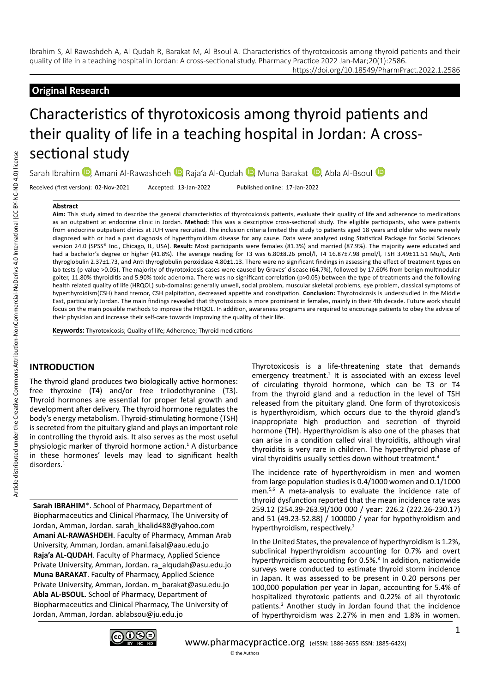https://doi.org/10.18549/PharmPract.2022.1.2586

# **Original Research**

# Characteristics of thyrotoxicosis among thyroid patients and their quality of life in a teaching hospital in Jordan: A crosssectional study

SarahIbrahim D, Amani Al-Rawashdeh D, Raja'a Al-Qudah D, Muna Barakat D, Abla Al-Bsoul D

Received (first version): 02-Nov-2021 Accepted: 13-Jan-2022 Published online: 17-Jan-2022

#### **Abstract**

**Aim:** This study aimed to describe the general characteristics of thyrotoxicosis patients, evaluate their quality of life and adherence to medications as an outpatient at endocrine clinic in Jordan. **Method:** This was a descriptive cross-sectional study. The eligible participants, who were patients from endocrine outpatient clinics at JUH were recruited. The inclusion criteria limited the study to patients aged 18 years and older who were newly diagnosed with or had a past diagnosis of hyperthyroidism disease for any cause. Data were analyzed using Statistical Package for Social Sciences version 24.0 (SPSS® Inc., Chicago, IL, USA). **Result:** Most participants were females (81.3%) and married (87.9%). The majority were educated and had a bachelor's degree or higher (41.8%). The average reading for T3 was 6.80±8.26 pmol/l, T4 16.87±7.98 pmol/l, TSH 3.49±11.51 Mu/L, Anti thyroglobulin 2.37±1.73, and Anti thyroglobulin peroxidase 4.80±1.13. There were no significant findings in assessing the effect of treatment types on lab tests (p-value >0.05). The majority of thyrotoxicosis cases were caused by Graves' disease (64.7%), followed by 17.60% from benign multinodular goiter, 11.80% thyroiditis and 5.90% toxic adenoma. There was no significant correlation (p>0.05) between the type of treatments and the following health related quality of life (HRQOL) sub-domains: generally unwell, social problem, muscular skeletal problems, eye problem, classical symptoms of hyperthyroidism(CSH) hand tremor, CSH palpitation, decreased appetite and constipation. **Conclusion:** Thyrotoxicosis is understudied in the Middle East, particularly Jordan. The main findings revealed that thyrotoxicosis is more prominent in females, mainly in their 4th decade. Future work should focus on the main possible methods to improve the HRQOL. In addition, awareness programs are required to encourage patients to obey the advice of their physician and increase their self-care towards improving the quality of their life.

**Keywords:** Thyrotoxicosis; Quality of life; Adherence; Thyroid medications

# **INTRODUCTION**

The thyroid gland produces two biologically active hormones: free thyroxine (T4) and/or free triiodothyronine (T3). Thyroid hormones are essential for proper fetal growth and development after delivery. The thyroid hormone regulates the body's energy metabolism. Thyroid-stimulating hormone (TSH) is secreted from the pituitary gland and plays an important role in controlling the thyroid axis. It also serves as the most useful physiologic marker of thyroid hormone action.<sup>1</sup> A disturbance in these hormones' levels may lead to significant health disorders.<sup>1</sup>

**Sarah IBRAHIM**\*. School of Pharmacy, Department of Biopharmaceutics and Clinical Pharmacy, The University of Jordan, Amman, Jordan. sarah\_khalid488@yahoo.com **Amani AL-RAWASHDEH**. Faculty of Pharmacy, Amman Arab University, Amman, Jordan. amani.faisal@aau.edu.jo **Raja'a AL-QUDAH**. Faculty of Pharmacy, Applied Science Private University, Amman, Jordan. ra\_alqudah@asu.edu.jo **Muna BARAKAT**. Faculty of Pharmacy, Applied Science Private University, Amman, Jordan. m\_barakat@asu.edu.jo **Abla AL-BSOUL**. School of Pharmacy, Department of Biopharmaceutics and Clinical Pharmacy, The University of Jordan, Amman, Jordan. ablabsou@ju.edu.jo

Thyrotoxicosis is a life-threatening state that demands emergency treatment.<sup>2</sup> It is associated with an excess level of circulating thyroid hormone, which can be T3 or T4 from the thyroid gland and a reduction in the level of TSH released from the pituitary gland. One form of thyrotoxicosis is hyperthyroidism, which occurs due to the thyroid gland's inappropriate high production and secretion of thyroid hormone (TH). Hyperthyroidism is also one of the phases that can arise in a condition called viral thyroiditis, although viral thyroiditis is very rare in children. The hyperthyroid phase of viral thyroiditis usually settles down without treatment.<sup>4</sup>

The incidence rate of hyperthyroidism in men and women from large population studies is 0.4/1000 women and 0.1/1000 men.5,6 A meta-analysis to evaluate the incidence rate of thyroid dysfunction reported that the mean incidence rate was 259.12 (254.39-263.9)/100 000 / year: 226.2 (222.26-230.17) and 51 (49.23-52.88) / 100000 / year for hypothyroidism and hyperthyroidism, respectively.<sup>7</sup>

In the United States, the prevalence of hyperthyroidism is 1.2%, subclinical hyperthyroidism accounting for 0.7% and overt hyperthyroidism accounting for 0.5%.<sup>8</sup> In addition, nationwide surveys were conducted to estimate thyroid storm incidence in Japan. It was assessed to be present in 0.20 persons per 100,000 population per year in Japan, accounting for 5.4% of hospitalized thyrotoxic patients and 0.22% of all thyrotoxic patients.<sup>2</sup> Another study in Jordan found that the incidence of hyperthyroidism was 2.27% in men and 1.8% in women.

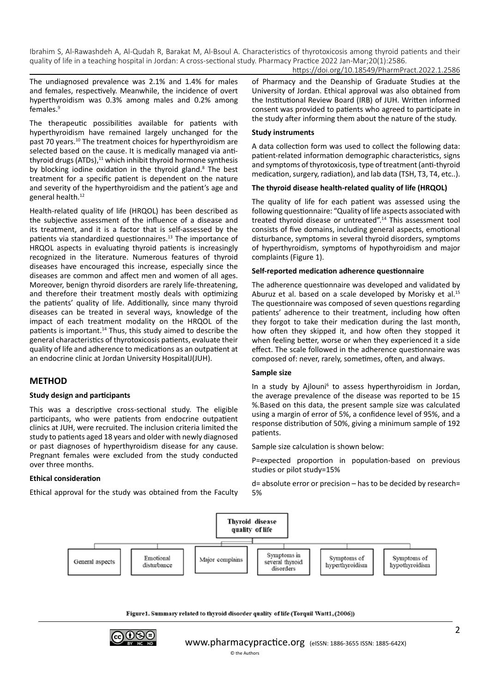https://doi.org/10.18549/PharmPract.2022.1.2586

The undiagnosed prevalence was 2.1% and 1.4% for males and females, respectively. Meanwhile, the incidence of overt hyperthyroidism was 0.3% among males and 0.2% among females.9

The therapeutic possibilities available for patients with hyperthyroidism have remained largely unchanged for the past 70 years.<sup>10</sup> The treatment choices for hyperthyroidism are selected based on the cause. It is medically managed via antithyroid drugs (ATDs), $11$  which inhibit thyroid hormone synthesis by blocking iodine oxidation in the thyroid gland.<sup>8</sup> The best treatment for a specific patient is dependent on the nature and severity of the hyperthyroidism and the patient's age and general health.<sup>12</sup>

Health-related quality of life (HRQOL) has been described as the subjective assessment of the influence of a disease and its treatment, and it is a factor that is self-assessed by the patients via standardized questionnaires.<sup>13</sup> The importance of HRQOL aspects in evaluating thyroid patients is increasingly recognized in the literature. Numerous features of thyroid diseases have encouraged this increase, especially since the diseases are common and affect men and women of all ages. Moreover, benign thyroid disorders are rarely life-threatening, and therefore their treatment mostly deals with optimizing the patients' quality of life. Additionally, since many thyroid diseases can be treated in several ways, knowledge of the impact of each treatment modality on the HRQOL of the patients is important.14 Thus, this study aimed to describe the general characteristics of thyrotoxicosis patients, evaluate their quality of life and adherence to medications as an outpatient at an endocrine clinic at Jordan University HospitalJ(JUH).

# **METHOD**

### **Study design and participants**

This was a descriptive cross-sectional study. The eligible participants, who were patients from endocrine outpatient clinics at JUH, were recruited. The inclusion criteria limited the study to patients aged 18 years and older with newly diagnosed or past diagnoses of hyperthyroidism disease for any cause. Pregnant females were excluded from the study conducted over three months.

### **Ethical consideration**

Ethical approval for the study was obtained from the Faculty

of Pharmacy and the Deanship of Graduate Studies at the University of Jordan. Ethical approval was also obtained from the Institutional Review Board (IRB) of JUH. Written informed consent was provided to patients who agreed to participate in the study after informing them about the nature of the study.

#### **Study instruments**

A data collection form was used to collect the following data: patient-related information demographic characteristics, signs and symptoms of thyrotoxicosis, type of treatment (anti-thyroid medication, surgery, radiation), and lab data (TSH, T3, T4, etc..).

#### **The thyroid disease health-related quality of life (HRQOL)**

The quality of life for each patient was assessed using the following questionnaire: "Quality of life aspects associated with treated thyroid disease or untreated".14 This assessment tool consists of five domains, including general aspects, emotional disturbance, symptoms in several thyroid disorders, symptoms of hyperthyroidism, symptoms of hypothyroidism and major complaints (Figure 1).

#### **Self-reported medication adherence questionnaire**

The adherence questionnaire was developed and validated by Aburuz et al. based on a scale developed by Morisky et al.<sup>15</sup> The questionnaire was composed of seven questions regarding patients' adherence to their treatment, including how often they forgot to take their medication during the last month, how often they skipped it, and how often they stopped it when feeling better, worse or when they experienced it a side effect. The scale followed in the adherence questionnaire was composed of: never, rarely, sometimes, often, and always.

#### **Sample size**

In a study by Ajlouni<sup>6</sup> to assess hyperthyroidism in Jordan, the average prevalence of the disease was reported to be 15 %.Based on this data, the present sample size was calculated using a margin of error of 5%, a confidence level of 95%, and a response distribution of 50%, giving a minimum sample of 192 patients.

Sample size calculation is shown below:

P=expected proportion in population-based on previous studies or pilot study=15%

d= absolute error or precision – has to be decided by research= 5%



Figure1. Summary related to thyroid disorder quality of life (Torquil Watt1, (2006))

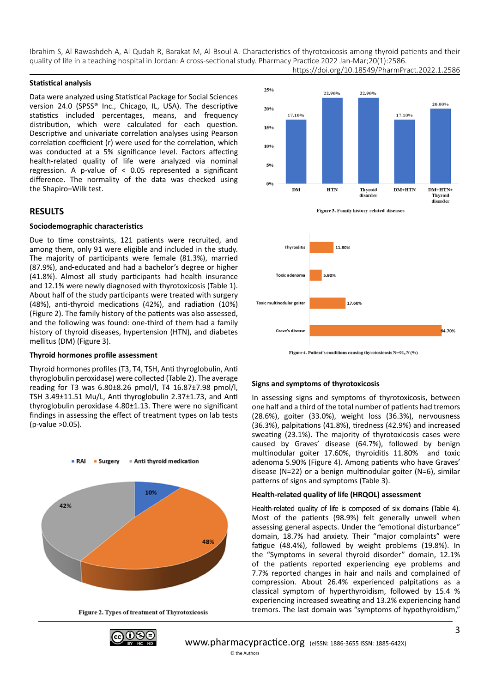#### **Statistical analysis**

Data were analyzed using Statistical Package for Social Sciences version 24.0 (SPSS® Inc., Chicago, IL, USA). The descriptive statistics included percentages, means, and frequency distribution, which were calculated for each question. Descriptive and univariate correlation analyses using Pearson correlation coefficient (r) were used for the correlation, which was conducted at a 5% significance level. Factors affecting health-related quality of life were analyzed via nominal regression. A p-value of < 0.05 represented a significant difference. The normality of the data was checked using the Shapiro–Wilk test.

#### **RESULTS**

#### **Sociodemographic characteristics**

Due to time constraints, 121 patients were recruited, and among them, only 91 were eligible and included in the study. The majority of participants were female (81.3%), married (87.9%), and educated and had a bachelor's degree or higher (41.8%). Almost all study participants had health insurance and 12.1% were newly diagnosed with thyrotoxicosis (Table 1). About half of the study participants were treated with surgery (48%), anti-thyroid medications (42%), and radiation (10%) (Figure 2). The family history of the patients was also assessed, and the following was found: one-third of them had a family history of thyroid diseases, hypertension (HTN), and diabetes mellitus (DM) (Figure 3).

#### **Thyroid hormones profile assessment**

Thyroid hormones profiles (T3, T4, TSH, Anti thyroglobulin, Anti thyroglobulin peroxidase) were collected (Table 2). The average reading for T3 was 6.80±8.26 pmol/l, T4 16.87±7.98 pmol/l, TSH 3.49±11.51 Mu/L, Anti thyroglobulin 2.37±1.73, and Anti thyroglobulin peroxidase 4.80±1.13. There were no significant findings in assessing the effect of treatment types on lab tests (p-value >0.05).



Figure 2. Types of treatment of Thyrotoxicosis





Figure 3. Family history related diseases



#### **Signs and symptoms of thyrotoxicosis**

In assessing signs and symptoms of thyrotoxicosis, between one half and a third of the total number of patients had tremors (28.6%), goiter (33.0%), weight loss (36.3%), nervousness (36.3%), palpitations (41.8%), tiredness (42.9%) and increased sweating (23.1%). The majority of thyrotoxicosis cases were caused by Graves' disease (64.7%), followed by benign multinodular goiter 17.60%, thyroiditis 11.80% and toxic adenoma 5.90% (Figure 4). Among patients who have Graves' disease (N=22) or a benign multinodular goiter (N=6), similar patterns of signs and symptoms (Table 3).

#### **Health-related quality of life (HRQOL) assessment**

Health-related quality of life is composed of six domains (Table 4). Most of the patients (98.9%) felt generally unwell when assessing general aspects. Under the "emotional disturbance" domain, 18.7% had anxiety. Their "major complaints" were fatigue (48.4%), followed by weight problems (19.8%). In the "Symptoms in several thyroid disorder" domain, 12.1% of the patients reported experiencing eye problems and 7.7% reported changes in hair and nails and complained of compression. About 26.4% experienced palpitations as a classical symptom of hyperthyroidism, followed by 15.4 % experiencing increased sweating and 13.2% experiencing hand tremors. The last domain was "symptoms of hypothyroidism,"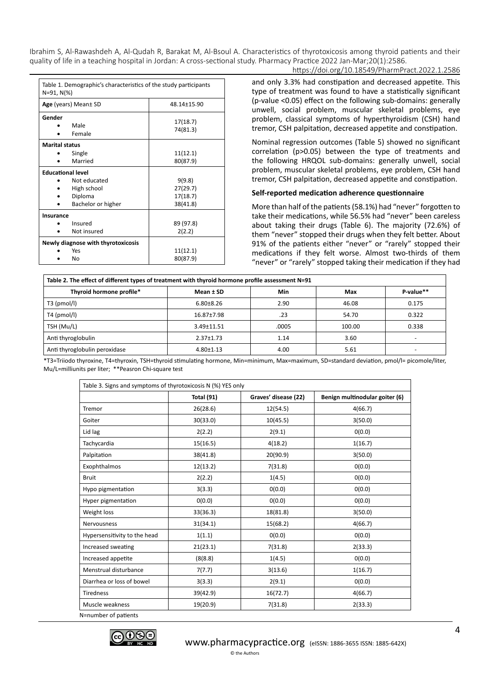#### https://doi.org/10.18549/PharmPract.2022.1.2586

| Table 1. Demographic's characteristics of the study participants<br>$N = 91, N(\%)$ |                                                              |                                            |  |
|-------------------------------------------------------------------------------------|--------------------------------------------------------------|--------------------------------------------|--|
|                                                                                     | Age (years) Mean± SD                                         | 48.14±15.90                                |  |
| Gender                                                                              | Male<br>Female                                               | 17(18.7)<br>74(81.3)                       |  |
| <b>Marital status</b>                                                               | Single<br>Married                                            | 11(12.1)<br>80(87.9)                       |  |
| <b>Educational level</b>                                                            |                                                              |                                            |  |
|                                                                                     | Not educated<br>High school<br>Diploma<br>Bachelor or higher | 9(9.8)<br>27(29.7)<br>17(18.7)<br>38(41.8) |  |
| Insurance                                                                           | Insured<br>Not insured                                       | 89 (97.8)<br>2(2.2)                        |  |
|                                                                                     | Newly diagnose with thyrotoxicosis                           |                                            |  |
|                                                                                     | Yes<br>No                                                    | 11(12.1)<br>80(87.9)                       |  |

and only 3.3% had constipation and decreased appetite. This type of treatment was found to have a statistically significant (p-value <0.05) effect on the following sub-domains: generally unwell, social problem, muscular skeletal problems, eye problem, classical symptoms of hyperthyroidism (CSH) hand tremor, CSH palpitation, decreased appetite and constipation.

Nominal regression outcomes (Table 5) showed no significant correlation (p>0.05) between the type of treatments and the following HRQOL sub-domains: generally unwell, social problem, muscular skeletal problems, eye problem, CSH hand tremor, CSH palpitation, decreased appetite and constipation.

#### **Self-reported medication adherence questionnaire**

More than half of the patients (58.1%) had "never" forgotten to take their medications, while 56.5% had "never" been careless about taking their drugs (Table 6). The majority (72.6%) of them "never" stopped their drugs when they felt better. About 91% of the patients either "never" or "rarely" stopped their medications if they felt worse. Almost two-thirds of them "never" or "rarely" stopped taking their medication if they had

| Table 2. The effect of different types of treatment with thyroid hormone profile assessment N=91 |                 |       |        |           |
|--------------------------------------------------------------------------------------------------|-----------------|-------|--------|-----------|
| Thyroid hormone profile*                                                                         | Mean ± SD       | Min   | Max    | P-value** |
| $T3$ (pmol/l)                                                                                    | $6.80 + 8.26$   | 2.90  | 46.08  | 0.175     |
| $T4$ (pmol/l)                                                                                    | 16.87±7.98      | .23   | 54.70  | 0.322     |
| TSH (Mu/L)                                                                                       | 3.49±11.51      | .0005 | 100.00 | 0.338     |
| Anti thyroglobulin                                                                               | $2.37 + 1.73$   | 1.14  | 3.60   |           |
| Anti thyroglobulin peroxidase                                                                    | $4.80 \pm 1.13$ | 4.00  | 5.61   |           |

\*T3=Triiodo thyroxine, T4=thyroxin, TSH=thyroid stimulating hormone, Min=minimum, Max=maximum, SD=standard deviation, pmol/l= picomole/liter, Mu/L=milliunits per liter; \*\*Peasron Chi-square test

| Table 3. Signs and symptoms of thyrotoxicosis N (%) YES only |            |                      |                                |
|--------------------------------------------------------------|------------|----------------------|--------------------------------|
|                                                              | Total (91) | Graves' disease (22) | Benign multinodular goiter (6) |
| Tremor                                                       | 26(28.6)   | 12(54.5)             | 4(66.7)                        |
| Goiter                                                       | 30(33.0)   | 10(45.5)             | 3(50.0)                        |
| Lid lag                                                      | 2(2.2)     | 2(9.1)               | 0(0.0)                         |
| Tachycardia                                                  | 15(16.5)   | 4(18.2)              | 1(16.7)                        |
| Palpitation                                                  | 38(41.8)   | 20(90.9)             | 3(50.0)                        |
| Exophthalmos                                                 | 12(13.2)   | 7(31.8)              | 0(0.0)                         |
| <b>Bruit</b>                                                 | 2(2.2)     | 1(4.5)               | 0(0.0)                         |
| Hypo pigmentation                                            | 3(3.3)     | 0(0.0)               | 0(0.0)                         |
| Hyper pigmentation                                           | 0(0.0)     | 0(0.0)               | 0(0.0)                         |
| Weight loss                                                  | 33(36.3)   | 18(81.8)             | 3(50.0)                        |
| <b>Nervousness</b>                                           | 31(34.1)   | 15(68.2)             | 4(66.7)                        |
| Hypersensitivity to the head                                 | 1(1.1)     | 0(0.0)               | 0(0.0)                         |
| Increased sweating                                           | 21(23.1)   | 7(31.8)              | 2(33.3)                        |
| Increased appetite                                           | (8(8.8)    | 1(4.5)               | 0(0.0)                         |
| Menstrual disturbance                                        | 7(7.7)     | 3(13.6)              | 1(16.7)                        |
| Diarrhea or loss of bowel                                    | 3(3.3)     | 2(9.1)               | 0(0.0)                         |
| <b>Tiredness</b>                                             | 39(42.9)   | 16(72.7)             | 4(66.7)                        |
| Muscle weakness                                              | 19(20.9)   | 7(31.8)              | 2(33.3)                        |
| N=number of patients                                         |            |                      |                                |

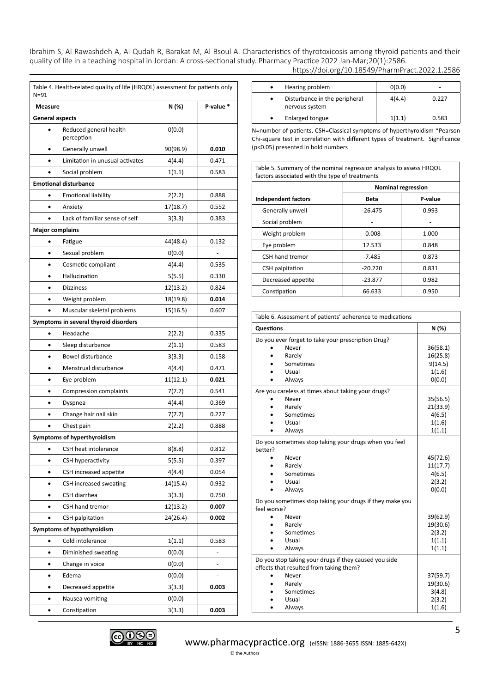| N=91                   | Table 4. Health-related quality of life (HRQOL) assessment for patients only |          |           |  |
|------------------------|------------------------------------------------------------------------------|----------|-----------|--|
| <b>Measure</b>         |                                                                              | N (%)    | P-value * |  |
|                        | <b>General aspects</b>                                                       |          |           |  |
|                        | Reduced general health<br>perception                                         | 0(0.0)   |           |  |
| ٠                      | Generally unwell                                                             | 90(98.9) | 0.010     |  |
|                        | Limitation in unusual activates                                              | 4(4.4)   | 0.471     |  |
|                        | Social problem                                                               | 1(1.1)   | 0.583     |  |
|                        | <b>Emotional disturbance</b>                                                 |          |           |  |
| ٠                      | <b>Emotional liability</b>                                                   | 2(2.2)   | 0.888     |  |
|                        | Anxiety                                                                      | 17(18.7) | 0.552     |  |
|                        | Lack of familiar sense of self                                               | 3(3.3)   | 0.383     |  |
| <b>Major complains</b> |                                                                              |          |           |  |
|                        | Fatigue                                                                      | 44(48.4) | 0.132     |  |
|                        | Sexual problem                                                               | 0(0.0)   |           |  |
|                        | Cosmetic compliant                                                           | 4(4.4)   | 0.535     |  |
|                        | Hallucination                                                                | 5(5.5)   | 0.330     |  |
|                        | <b>Dizziness</b>                                                             | 12(13.2) | 0.824     |  |
|                        | Weight problem                                                               | 18(19.8) | 0.014     |  |
|                        | Muscular skeletal problems                                                   | 15(16.5) | 0.607     |  |
|                        | Symptoms in several thyroid disorders                                        |          |           |  |
|                        | Headache                                                                     | 2(2.2)   | 0.335     |  |
|                        | Sleep disturbance                                                            | 2(1.1)   | 0.583     |  |
|                        | Bowel disturbance                                                            | 3(3.3)   | 0.158     |  |
|                        | Menstrual disturbance                                                        | 4(4.4)   | 0.471     |  |
|                        | Eye problem                                                                  | 11(12.1) | 0.021     |  |
|                        | Compression complaints                                                       | 7(7.7)   | 0.541     |  |
|                        | Dyspnea                                                                      | 4(4.4)   | 0.369     |  |
|                        | Change hair nail skin                                                        | 7(7.7)   | 0.227     |  |
|                        | Chest pain                                                                   | 2(2.2)   | 0.888     |  |
|                        | Symptoms of hyperthyroidism                                                  |          |           |  |
|                        | CSH heat intolerance                                                         | 8(8.8)   | 0.812     |  |
| ٠                      | CSH hyperactivity                                                            | 5(5.5)   | 0.397     |  |
|                        | CSH increased appetite                                                       | 4(4.4)   | 0.054     |  |
|                        | CSH increased sweating                                                       | 14(15.4) | 0.932     |  |
|                        | CSH diarrhea                                                                 | 3(3.3)   | 0.750     |  |
|                        | CSH hand tremor                                                              | 12(13.2) | 0.007     |  |
|                        | CSH palpitation                                                              | 24(26.4) | 0.002     |  |
|                        | Symptoms of hypothyroidism                                                   |          |           |  |
|                        | Cold intolerance                                                             | 1(1.1)   | 0.583     |  |
|                        | Diminished sweating                                                          | 0(0.0)   |           |  |
|                        | Change in voice                                                              | 0(0.0)   |           |  |
|                        | Edema                                                                        | 0(0.0)   |           |  |
|                        | Decreased appetite                                                           | 3(3.3)   | 0.003     |  |
|                        | Nausea vomiting                                                              | 0(0.0)   |           |  |
|                        | Constipation                                                                 | 3(3.3)   | 0.003     |  |

| https://doi.org/10.18549/PharmPract.2022.1.2586 |  |
|-------------------------------------------------|--|
|-------------------------------------------------|--|

| Hearing problem                                 | O(0.0) |       |
|-------------------------------------------------|--------|-------|
| Disturbance in the peripheral<br>nervous system | 4(4.4) | 0.227 |
| Enlarged tongue                                 | 1(1.1) | 0.583 |

N=number of patients, CSH=Classical symptoms of hyperthyroidism \*Pearson Chi-square test in correlation with different types of treatment. Significance (p<0.05) presented in bold numbers

Table 5. Summary of the nominal regression analysis to assess HRQOL factors associated with the type of treatments

|                     | <b>Nominal regression</b> |         |
|---------------------|---------------------------|---------|
| Independent factors | <b>Beta</b>               | P-value |
| Generally unwell    | $-26.475$                 | 0.993   |
| Social problem      |                           |         |
| Weight problem      | $-0.008$                  | 1.000   |
| Eye problem         | 12.533                    | 0.848   |
| CSH hand tremor     | $-7.485$                  | 0.873   |
| CSH palpitation     | $-20.220$                 | 0.831   |
| Decreased appetite  | $-23.877$                 | 0.982   |
| Constipation        | 66.633                    | 0.950   |

| Table 6. Assessment of patients' adherence to medications               |          |  |  |
|-------------------------------------------------------------------------|----------|--|--|
| Questions                                                               | N (%)    |  |  |
| Do you ever forget to take your prescription Drug?                      |          |  |  |
| Never                                                                   | 36(58.1) |  |  |
| Rarely                                                                  | 16(25.8) |  |  |
| Sometimes                                                               | 9(14.5)  |  |  |
| Usual                                                                   | 1(1.6)   |  |  |
| Always                                                                  | 0(0.0)   |  |  |
| Are you careless at times about taking your drugs?                      |          |  |  |
| Never                                                                   | 35(56.5) |  |  |
| Rarely                                                                  | 21(33.9) |  |  |
| Sometimes                                                               | 4(6.5)   |  |  |
| Usual                                                                   | 1(1.6)   |  |  |
| Always                                                                  | 1(1.1)   |  |  |
| Do you sometimes stop taking your drugs when you feel<br>better?        |          |  |  |
| Never                                                                   | 45(72.6) |  |  |
| Rarely                                                                  | 11(17.7) |  |  |
| Sometimes                                                               | 4(6.5)   |  |  |
| Usual                                                                   | 2(3.2)   |  |  |
| Always                                                                  | 0(0.0)   |  |  |
|                                                                         |          |  |  |
| Do you sometimes stop taking your drugs if they make you<br>feel worse? |          |  |  |
| Never                                                                   | 39(62.9) |  |  |
| Rarely                                                                  | 19(30.6) |  |  |
| Sometimes                                                               | 2(3.2)   |  |  |
| Usual                                                                   | 1(1.1)   |  |  |
| Always                                                                  | 1(1.1)   |  |  |
| Do you stop taking your drugs if they caused you side                   |          |  |  |
| effects that resulted from taking them?                                 |          |  |  |
| Never                                                                   | 37(59.7) |  |  |
| Rarely                                                                  | 19(30.6) |  |  |
| Sometimes                                                               | 3(4.8)   |  |  |
| Usual                                                                   | 2(3.2)   |  |  |
| Always                                                                  | 1(1.6)   |  |  |

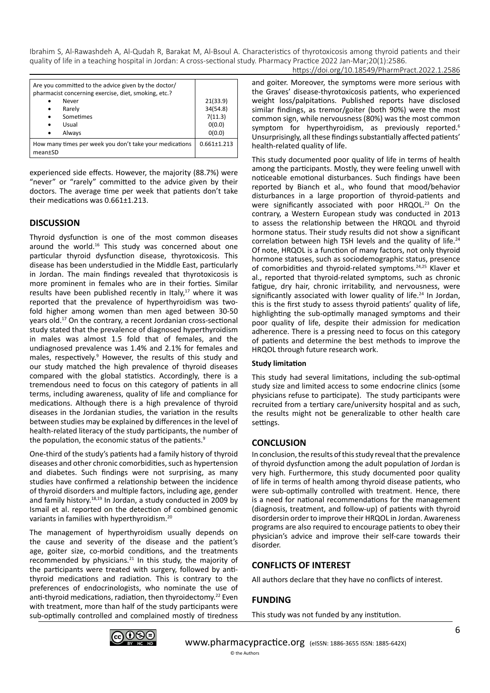| https://doi.org/10.18549/PharmPract.2022.1.2586 |
|-------------------------------------------------|
|-------------------------------------------------|

| Are you committed to the advice given by the doctor/<br>pharmacist concerning exercise, diet, smoking, etc.? |                   |
|--------------------------------------------------------------------------------------------------------------|-------------------|
| Never                                                                                                        | 21(33.9)          |
| Rarely<br>$\bullet$                                                                                          | 34(54.8)          |
| Sometimes<br>$\bullet$                                                                                       | 7(11.3)           |
| Usual<br>$\bullet$                                                                                           | O(0.0)            |
| Always<br>$\bullet$                                                                                          | O(0.0)            |
| How many times per week you don't take your medications<br>mean±SD                                           | $0.661 \pm 1.213$ |

experienced side effects. However, the majority (88.7%) were "never" or "rarely" committed to the advice given by their doctors. The average time per week that patients don't take their medications was 0.661±1.213.

# **DISCUSSION**

Thyroid dysfunction is one of the most common diseases around the world.<sup>16</sup> This study was concerned about one particular thyroid dysfunction disease, thyrotoxicosis. This disease has been understudied in the Middle East, particularly in Jordan. The main findings revealed that thyrotoxicosis is more prominent in females who are in their forties. Similar results have been published recently in Italy, $17$  where it was reported that the prevalence of hyperthyroidism was twofold higher among women than men aged between 30-50 years old.17 On the contrary, a recent Jordanian cross-sectional study stated that the prevalence of diagnosed hyperthyroidism in males was almost 1.5 fold that of females, and the undiagnosed prevalence was 1.4% and 2.1% for females and males, respectively.<sup>9</sup> However, the results of this study and our study matched the high prevalence of thyroid diseases compared with the global statistics. Accordingly, there is a tremendous need to focus on this category of patients in all terms, including awareness, quality of life and compliance for medications. Although there is a high prevalence of thyroid diseases in the Jordanian studies, the variation in the results between studies may be explained by differences in the level of health-related literacy of the study participants, the number of the population, the economic status of the patients.<sup>9</sup>

One-third of the study's patients had a family history of thyroid diseases and other chronic comorbidities, such as hypertension and diabetes. Such findings were not surprising, as many studies have confirmed a relationship between the incidence of thyroid disorders and multiple factors, including age, gender and family history.18,19 In Jordan, a study conducted in 2009 by Ismail et al. reported on the detection of combined genomic variants in families with hyperthyroidism.20

The management of hyperthyroidism usually depends on the cause and severity of the disease and the patient's age, goiter size, co-morbid conditions, and the treatments recommended by physicians. $21$  In this study, the majority of the participants were treated with surgery, followed by antithyroid medications and radiation. This is contrary to the preferences of endocrinologists, who nominate the use of anti-thyroid medications, radiation, then thyroidectomy.<sup>22</sup> Even with treatment, more than half of the study participants were sub-optimally controlled and complained mostly of tiredness and goiter. Moreover, the symptoms were more serious with the Graves' disease-thyrotoxicosis patients, who experienced weight loss/palpitations. Published reports have disclosed similar findings, as tremor/goiter (both 90%) were the most common sign, while nervousness (80%) was the most common symptom for hyperthyroidism, as previously reported.<sup>6</sup> Unsurprisingly, all these findings substantially affected patients' health-related quality of life.

This study documented poor quality of life in terms of health among the participants. Mostly, they were feeling unwell with noticeable emotional disturbances. Such findings have been reported by Bianch et al., who found that mood/behavior disturbances in a large proportion of thyroid-patients and were significantly associated with poor HRQOL.<sup>23</sup> On the contrary, a Western European study was conducted in 2013 to assess the relationship between the HRQOL and thyroid hormone status. Their study results did not show a significant correlation between high TSH levels and the quality of life.<sup>24</sup> Of note, HRQOL is a function of many factors, not only thyroid hormone statuses, such as sociodemographic status, presence of comorbidities and thyroid-related symptoms.24,25 Klaver et al., reported that thyroid-related symptoms, such as chronic fatigue, dry hair, chronic irritability, and nervousness, were significantly associated with lower quality of life.<sup>24</sup> In Jordan, this is the first study to assess thyroid patients' quality of life, highlighting the sub-optimally managed symptoms and their poor quality of life, despite their admission for medication adherence. There is a pressing need to focus on this category of patients and determine the best methods to improve the HRQOL through future research work.

### **Study limitation**

This study had several limitations, including the sub-optimal study size and limited access to some endocrine clinics (some physicians refuse to participate). The study participants were recruited from a tertiary care/university hospital and as such, the results might not be generalizable to other health care settings.

# **CONCLUSION**

In conclusion, the results of this study reveal that the prevalence of thyroid dysfunction among the adult population of Jordan is very high. Furthermore, this study documented poor quality of life in terms of health among thyroid disease patients, who were sub-optimally controlled with treatment. Hence, there is a need for national recommendations for the management (diagnosis, treatment, and follow-up) of patients with thyroid disordersin order to improve their HRQOL in Jordan. Awareness programs are also required to encourage patients to obey their physician's advice and improve their self-care towards their disorder.

# **CONFLICTS OF INTEREST**

All authors declare that they have no conflicts of interest.

# **FUNDING**

This study was not funded by any institution.